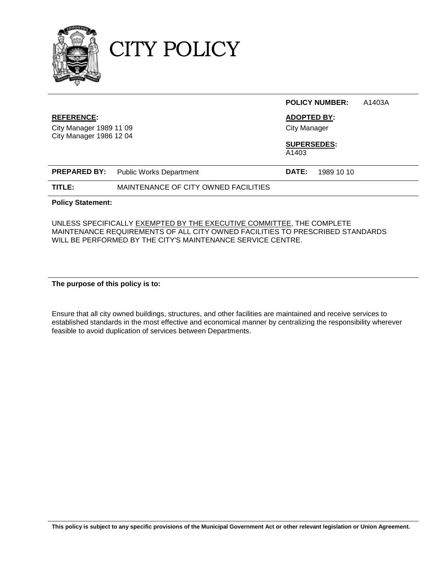

CITY POLICY

|                                                                                |                                      |                             | <b>POLICY NUMBER:</b>                     | A1403A |  |
|--------------------------------------------------------------------------------|--------------------------------------|-----------------------------|-------------------------------------------|--------|--|
| <b>REFERENCE:</b><br>City Manager 1989 11 09<br><b>City Manager 1986 12 04</b> |                                      |                             | <b>ADOPTED BY:</b><br><b>City Manager</b> |        |  |
|                                                                                |                                      | <b>SUPERSEDES:</b><br>A1403 |                                           |        |  |
| <b>PREPARED BY:</b>                                                            | <b>Public Works Department</b>       | DATE:                       | 1989 10 10                                |        |  |
| TITLE:                                                                         | MAINTENANCE OF CITY OWNED FACILITIES |                             |                                           |        |  |
| <b>Policy Statement:</b>                                                       |                                      |                             |                                           |        |  |

UNLESS SPECIFICALLY EXEMPTED BY THE EXECUTIVE COMMITTEE, THE COMPLETE MAINTENANCE REQUIREMENTS OF ALL CITY OWNED FACILITIES TO PRESCRIBED STANDARDS WILL BE PERFORMED BY THE CITY'S MAINTENANCE SERVICE CENTRE.

**The purpose of this policy is to:**

Ensure that all city owned buildings, structures, and other facilities are maintained and receive services to established standards in the most effective and economical manner by centralizing the responsibility wherever feasible to avoid duplication of services between Departments.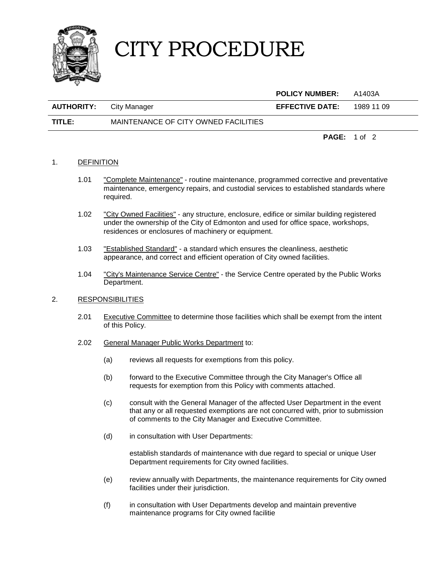

## CITY PROCEDURE

|                   |                                      | <b>POLICY NUMBER:</b>  | A1403A              |
|-------------------|--------------------------------------|------------------------|---------------------|
| <b>AUTHORITY:</b> | City Manager                         | <b>EFFECTIVE DATE:</b> | 1989 11 09          |
| TITLE:            | MAINTENANCE OF CITY OWNED FACILITIES |                        |                     |
|                   |                                      |                        | <b>PAGE:</b> 1 of 2 |

## 1. DEFINITION

- 1.01 "Complete Maintenance" routine maintenance, programmed corrective and preventative maintenance, emergency repairs, and custodial services to established standards where required.
- 1.02 "City Owned Facilities" any structure, enclosure, edifice or similar building registered under the ownership of the City of Edmonton and used for office space, workshops, residences or enclosures of machinery or equipment.
- 1.03 "Established Standard" a standard which ensures the cleanliness, aesthetic appearance, and correct and efficient operation of City owned facilities.
- 1.04 "City's Maintenance Service Centre" the Service Centre operated by the Public Works Department.

## 2. RESPONSIBILITIES

- 2.01 Executive Committee to determine those facilities which shall be exempt from the intent of this Policy.
- 2.02 General Manager Public Works Department to:
	- (a) reviews all requests for exemptions from this policy.
	- (b) forward to the Executive Committee through the City Manager's Office all requests for exemption from this Policy with comments attached.
	- (c) consult with the General Manager of the affected User Department in the event that any or all requested exemptions are not concurred with, prior to submission of comments to the City Manager and Executive Committee.
	- (d) in consultation with User Departments:

establish standards of maintenance with due regard to special or unique User Department requirements for City owned facilities.

- (e) review annually with Departments, the maintenance requirements for City owned facilities under their jurisdiction.
- (f) in consultation with User Departments develop and maintain preventive maintenance programs for City owned facilitie